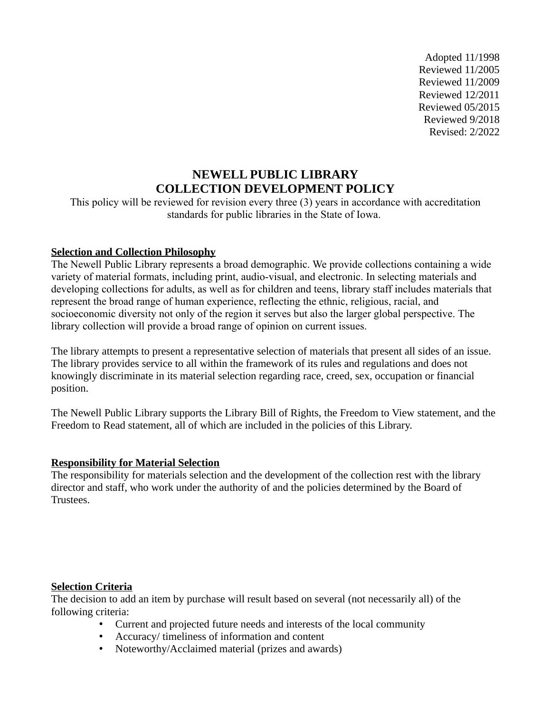Adopted 11/1998 Reviewed 11/2005 Reviewed 11/2009 Reviewed 12/2011 Reviewed 05/2015 Reviewed 9/2018 Revised: 2/2022

# **NEWELL PUBLIC LIBRARY COLLECTION DEVELOPMENT POLICY**

This policy will be reviewed for revision every three (3) years in accordance with accreditation standards for public libraries in the State of Iowa.

## **Selection and Collection Philosophy**

The Newell Public Library represents a broad demographic. We provide collections containing a wide variety of material formats, including print, audio-visual, and electronic. In selecting materials and developing collections for adults, as well as for children and teens, library staff includes materials that represent the broad range of human experience, reflecting the ethnic, religious, racial, and socioeconomic diversity not only of the region it serves but also the larger global perspective. The library collection will provide a broad range of opinion on current issues.

The library attempts to present a representative selection of materials that present all sides of an issue. The library provides service to all within the framework of its rules and regulations and does not knowingly discriminate in its material selection regarding race, creed, sex, occupation or financial position.

The Newell Public Library supports the Library Bill of Rights, the Freedom to View statement, and the Freedom to Read statement, all of which are included in the policies of this Library.

# **Responsibility for Material Selection**

The responsibility for materials selection and the development of the collection rest with the library director and staff, who work under the authority of and the policies determined by the Board of Trustees.

#### **Selection Criteria**

The decision to add an item by purchase will result based on several (not necessarily all) of the following criteria:

- Current and projected future needs and interests of the local community
- Accuracy/ timeliness of information and content
- Noteworthy/Acclaimed material (prizes and awards)